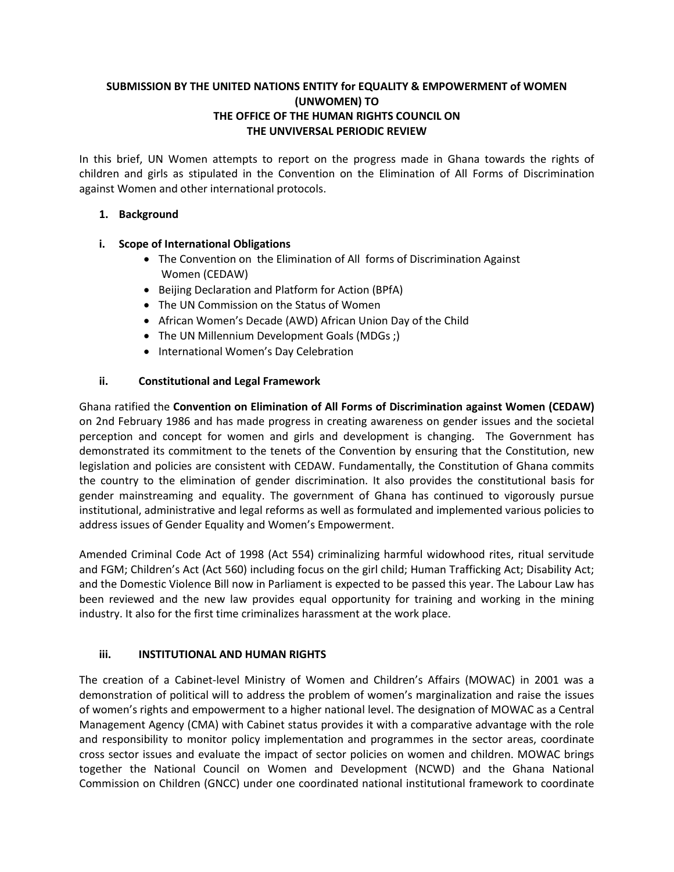# **SUBMISSION BY THE UNITED NATIONS ENTITY for EQUALITY & EMPOWERMENT of WOMEN (UNWOMEN) TO THE OFFICE OF THE HUMAN RIGHTS COUNCIL ON THE UNVIVERSAL PERIODIC REVIEW**

In this brief, UN Women attempts to report on the progress made in Ghana towards the rights of children and girls as stipulated in the Convention on the Elimination of All Forms of Discrimination against Women and other international protocols.

## **1. Background**

## **i. Scope of International Obligations**

- The Convention on the Elimination of All forms of Discrimination Against Women (CEDAW)
- Beijing Declaration and Platform for Action (BPfA)
- The UN Commission on the Status of Women
- African Women's Decade (AWD) African Union Day of the Child
- The UN Millennium Development Goals (MDGs;)
- International Women's Day Celebration

## **ii. Constitutional and Legal Framework**

Ghana ratified the **Convention on Elimination of All Forms of Discrimination against Women (CEDAW)** on 2nd February 1986 and has made progress in creating awareness on gender issues and the societal perception and concept for women and girls and development is changing. The Government has demonstrated its commitment to the tenets of the Convention by ensuring that the Constitution, new legislation and policies are consistent with CEDAW. Fundamentally, the Constitution of Ghana commits the country to the elimination of gender discrimination. It also provides the constitutional basis for gender mainstreaming and equality. The government of Ghana has continued to vigorously pursue institutional, administrative and legal reforms as well as formulated and implemented various policies to address issues of Gender Equality and Women's Empowerment.

Amended Criminal Code Act of 1998 (Act 554) criminalizing harmful widowhood rites, ritual servitude and FGM; Children's Act (Act 560) including focus on the girl child; Human Trafficking Act; Disability Act; and the Domestic Violence Bill now in Parliament is expected to be passed this year. The Labour Law has been reviewed and the new law provides equal opportunity for training and working in the mining industry. It also for the first time criminalizes harassment at the work place.

#### **iii. INSTITUTIONAL AND HUMAN RIGHTS**

The creation of a Cabinet-level Ministry of Women and Children's Affairs (MOWAC) in 2001 was a demonstration of political will to address the problem of women's marginalization and raise the issues of women's rights and empowerment to a higher national level. The designation of MOWAC as a Central Management Agency (CMA) with Cabinet status provides it with a comparative advantage with the role and responsibility to monitor policy implementation and programmes in the sector areas, coordinate cross sector issues and evaluate the impact of sector policies on women and children. MOWAC brings together the National Council on Women and Development (NCWD) and the Ghana National Commission on Children (GNCC) under one coordinated national institutional framework to coordinate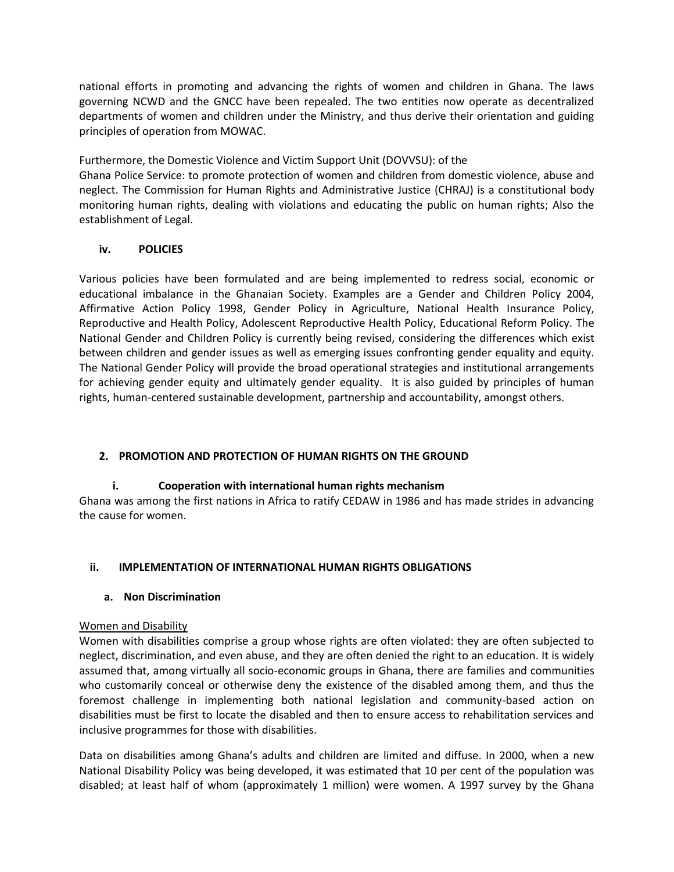national efforts in promoting and advancing the rights of women and children in Ghana. The laws governing NCWD and the GNCC have been repealed. The two entities now operate as decentralized departments of women and children under the Ministry, and thus derive their orientation and guiding principles of operation from MOWAC.

Furthermore, the Domestic Violence and Victim Support Unit (DOVVSU): of the

Ghana Police Service: to promote protection of women and children from domestic violence, abuse and neglect. The Commission for Human Rights and Administrative Justice (CHRAJ) is a constitutional body monitoring human rights, dealing with violations and educating the public on human rights; Also the establishment of Legal.

## **iv. POLICIES**

Various policies have been formulated and are being implemented to redress social, economic or educational imbalance in the Ghanaian Society. Examples are a Gender and Children Policy 2004, Affirmative Action Policy 1998, Gender Policy in Agriculture, National Health Insurance Policy, Reproductive and Health Policy, Adolescent Reproductive Health Policy, Educational Reform Policy. The National Gender and Children Policy is currently being revised, considering the differences which exist between children and gender issues as well as emerging issues confronting gender equality and equity. The National Gender Policy will provide the broad operational strategies and institutional arrangements for achieving gender equity and ultimately gender equality. It is also guided by principles of human rights, human-centered sustainable development, partnership and accountability, amongst others.

# **2. PROMOTION AND PROTECTION OF HUMAN RIGHTS ON THE GROUND**

# **i. Cooperation with international human rights mechanism**

Ghana was among the first nations in Africa to ratify CEDAW in 1986 and has made strides in advancing the cause for women.

# **ii. IMPLEMENTATION OF INTERNATIONAL HUMAN RIGHTS OBLIGATIONS**

#### **a. Non Discrimination**

#### Women and Disability

Women with disabilities comprise a group whose rights are often violated: they are often subjected to neglect, discrimination, and even abuse, and they are often denied the right to an education. It is widely assumed that, among virtually all socio-economic groups in Ghana, there are families and communities who customarily conceal or otherwise deny the existence of the disabled among them, and thus the foremost challenge in implementing both national legislation and community-based action on disabilities must be first to locate the disabled and then to ensure access to rehabilitation services and inclusive programmes for those with disabilities.

Data on disabilities among Ghana's adults and children are limited and diffuse. In 2000, when a new National Disability Policy was being developed, it was estimated that 10 per cent of the population was disabled; at least half of whom (approximately 1 million) were women. A 1997 survey by the Ghana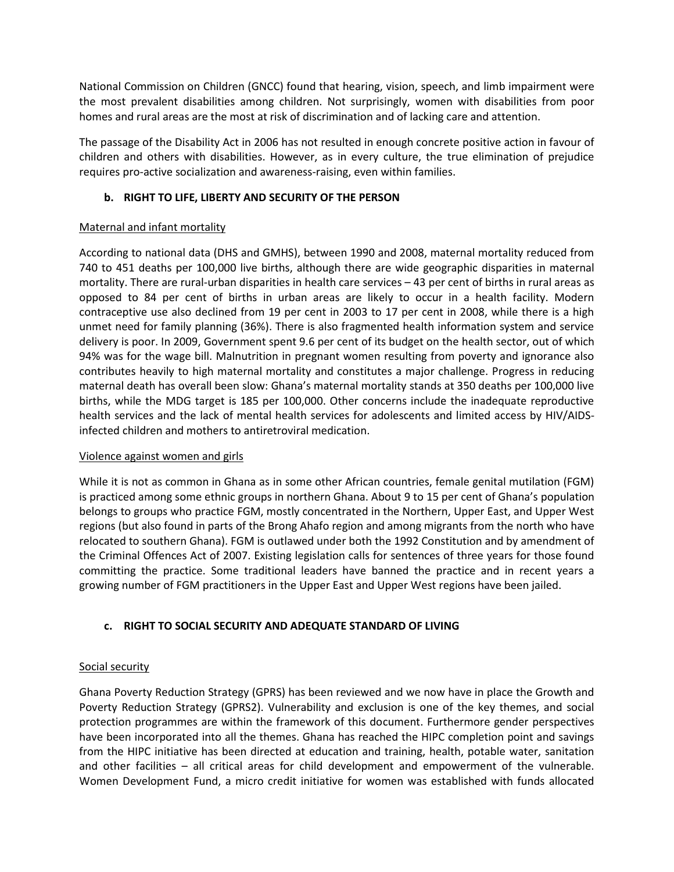National Commission on Children (GNCC) found that hearing, vision, speech, and limb impairment were the most prevalent disabilities among children. Not surprisingly, women with disabilities from poor homes and rural areas are the most at risk of discrimination and of lacking care and attention.

The passage of the Disability Act in 2006 has not resulted in enough concrete positive action in favour of children and others with disabilities. However, as in every culture, the true elimination of prejudice requires pro-active socialization and awareness-raising, even within families.

## **b. RIGHT TO LIFE, LIBERTY AND SECURITY OF THE PERSON**

## Maternal and infant mortality

According to national data (DHS and GMHS), between 1990 and 2008, maternal mortality reduced from 740 to 451 deaths per 100,000 live births, although there are wide geographic disparities in maternal mortality. There are rural-urban disparities in health care services – 43 per cent of births in rural areas as opposed to 84 per cent of births in urban areas are likely to occur in a health facility. Modern contraceptive use also declined from 19 per cent in 2003 to 17 per cent in 2008, while there is a high unmet need for family planning (36%). There is also fragmented health information system and service delivery is poor. In 2009, Government spent 9.6 per cent of its budget on the health sector, out of which 94% was for the wage bill. Malnutrition in pregnant women resulting from poverty and ignorance also contributes heavily to high maternal mortality and constitutes a major challenge. Progress in reducing maternal death has overall been slow: Ghana's maternal mortality stands at 350 deaths per 100,000 live births, while the MDG target is 185 per 100,000. Other concerns include the inadequate reproductive health services and the lack of mental health services for adolescents and limited access by HIV/AIDSinfected children and mothers to antiretroviral medication.

#### Violence against women and girls

While it is not as common in Ghana as in some other African countries, female genital mutilation (FGM) is practiced among some ethnic groups in northern Ghana. About 9 to 15 per cent of Ghana's population belongs to groups who practice FGM, mostly concentrated in the Northern, Upper East, and Upper West regions (but also found in parts of the Brong Ahafo region and among migrants from the north who have relocated to southern Ghana). FGM is outlawed under both the 1992 Constitution and by amendment of the Criminal Offences Act of 2007. Existing legislation calls for sentences of three years for those found committing the practice. Some traditional leaders have banned the practice and in recent years a growing number of FGM practitioners in the Upper East and Upper West regions have been jailed.

# **c. RIGHT TO SOCIAL SECURITY AND ADEQUATE STANDARD OF LIVING**

# Social security

Ghana Poverty Reduction Strategy (GPRS) has been reviewed and we now have in place the Growth and Poverty Reduction Strategy (GPRS2). Vulnerability and exclusion is one of the key themes, and social protection programmes are within the framework of this document. Furthermore gender perspectives have been incorporated into all the themes. Ghana has reached the HIPC completion point and savings from the HIPC initiative has been directed at education and training, health, potable water, sanitation and other facilities – all critical areas for child development and empowerment of the vulnerable. Women Development Fund, a micro credit initiative for women was established with funds allocated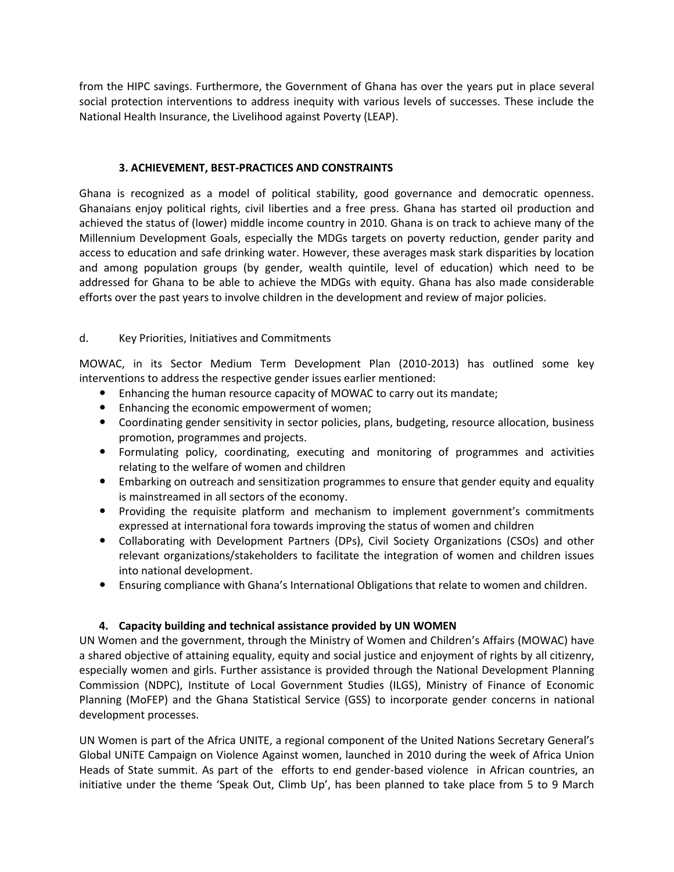from the HIPC savings. Furthermore, the Government of Ghana has over the years put in place several social protection interventions to address inequity with various levels of successes. These include the National Health Insurance, the Livelihood against Poverty (LEAP).

#### **3. ACHIEVEMENT, BEST-PRACTICES AND CONSTRAINTS**

Ghana is recognized as a model of political stability, good governance and democratic openness. Ghanaians enjoy political rights, civil liberties and a free press. Ghana has started oil production and achieved the status of (lower) middle income country in 2010. Ghana is on track to achieve many of the Millennium Development Goals, especially the MDGs targets on poverty reduction, gender parity and access to education and safe drinking water. However, these averages mask stark disparities by location and among population groups (by gender, wealth quintile, level of education) which need to be addressed for Ghana to be able to achieve the MDGs with equity. Ghana has also made considerable efforts over the past years to involve children in the development and review of major policies.

## d. Key Priorities, Initiatives and Commitments

MOWAC, in its Sector Medium Term Development Plan (2010-2013) has outlined some key interventions to address the respective gender issues earlier mentioned:

- Enhancing the human resource capacity of MOWAC to carry out its mandate;
- Enhancing the economic empowerment of women;
- Coordinating gender sensitivity in sector policies, plans, budgeting, resource allocation, business promotion, programmes and projects.
- Formulating policy, coordinating, executing and monitoring of programmes and activities relating to the welfare of women and children
- Embarking on outreach and sensitization programmes to ensure that gender equity and equality is mainstreamed in all sectors of the economy.
- Providing the requisite platform and mechanism to implement government's commitments expressed at international fora towards improving the status of women and children
- Collaborating with Development Partners (DPs), Civil Society Organizations (CSOs) and other relevant organizations/stakeholders to facilitate the integration of women and children issues into national development.
- Ensuring compliance with Ghana's International Obligations that relate to women and children.

# **4. Capacity building and technical assistance provided by UN WOMEN**

UN Women and the government, through the Ministry of Women and Children's Affairs (MOWAC) have a shared objective of attaining equality, equity and social justice and enjoyment of rights by all citizenry, especially women and girls. Further assistance is provided through the National Development Planning Commission (NDPC), Institute of Local Government Studies (ILGS), Ministry of Finance of Economic Planning (MoFEP) and the Ghana Statistical Service (GSS) to incorporate gender concerns in national development processes.

UN Women is part of the Africa UNITE, a regional component of the United Nations Secretary General's Global UNiTE Campaign on Violence Against women, launched in 2010 during the week of Africa Union Heads of State summit. As part of the efforts to end gender-based violence in African countries, an initiative under the theme 'Speak Out, Climb Up', has been planned to take place from 5 to 9 March